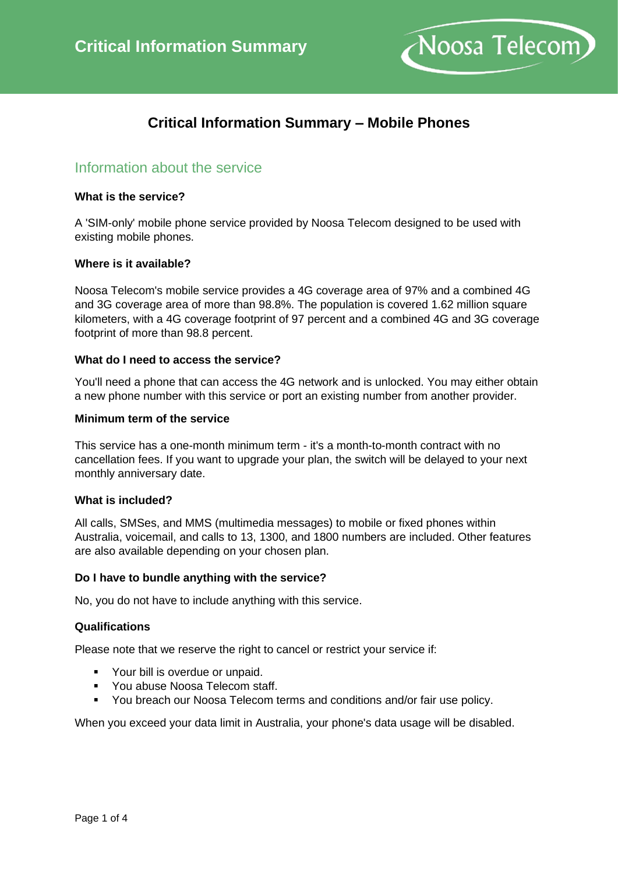

# **Critical Information Summary – Mobile Phones**

## Information about the service

### **What is the service?**

A 'SIM-only' mobile phone service provided by Noosa Telecom designed to be used with existing mobile phones.

#### **Where is it available?**

Noosa Telecom's mobile service provides a 4G coverage area of 97% and a combined 4G and 3G coverage area of more than 98.8%. The population is covered 1.62 million square kilometers, with a 4G coverage footprint of 97 percent and a combined 4G and 3G coverage footprint of more than 98.8 percent.

## **What do I need to access the service?**

You'll need a phone that can access the 4G network and is unlocked. You may either obtain a new phone number with this service or port an existing number from another provider.

#### **Minimum term of the service**

This service has a one-month minimum term - it's a month-to-month contract with no cancellation fees. If you want to upgrade your plan, the switch will be delayed to your next monthly anniversary date.

### **What is included?**

All calls, SMSes, and MMS (multimedia messages) to mobile or fixed phones within Australia, voicemail, and calls to 13, 1300, and 1800 numbers are included. Other features are also available depending on your chosen plan.

### **Do I have to bundle anything with the service?**

No, you do not have to include anything with this service.

### **Qualifications**

Please note that we reserve the right to cancel or restrict your service if:

- Your bill is overdue or unpaid.
- You abuse Noosa Telecom staff.
- You breach our Noosa Telecom terms and conditions and/or fair use policy.

When you exceed your data limit in Australia, your phone's data usage will be disabled.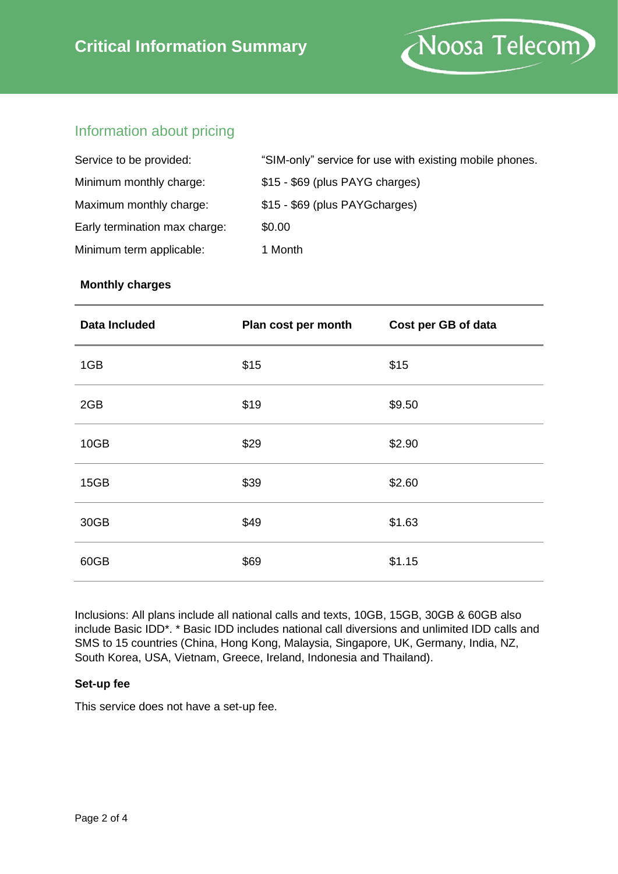

## Information about pricing

| Service to be provided:       | "SIM-only" service for use with existing mobile phones. |
|-------------------------------|---------------------------------------------------------|
| Minimum monthly charge:       | \$15 - \$69 (plus PAYG charges)                         |
| Maximum monthly charge:       | \$15 - \$69 (plus PAYGcharges)                          |
| Early termination max charge: | \$0.00                                                  |
| Minimum term applicable:      | 1 Month                                                 |

## **Monthly charges**

| <b>Data Included</b> | Plan cost per month | Cost per GB of data |
|----------------------|---------------------|---------------------|
| 1GB                  | \$15                | \$15                |
| 2GB                  | \$19                | \$9.50              |
| 10GB                 | \$29                | \$2.90              |
| 15GB                 | \$39                | \$2.60              |
| 30GB                 | \$49                | \$1.63              |
| 60GB                 | \$69                | \$1.15              |

Inclusions: All plans include all national calls and texts, 10GB, 15GB, 30GB & 60GB also include Basic IDD\*. \* Basic IDD includes national call diversions and unlimited IDD calls and SMS to 15 countries (China, Hong Kong, Malaysia, Singapore, UK, Germany, India, NZ, South Korea, USA, Vietnam, Greece, Ireland, Indonesia and Thailand).

## **Set-up fee**

This service does not have a set-up fee.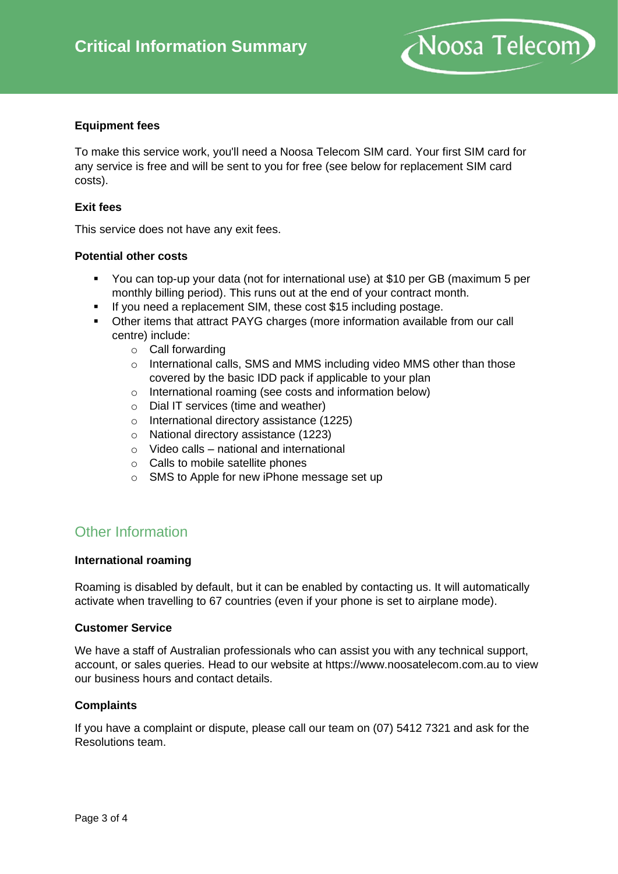

## **Equipment fees**

To make this service work, you'll need a Noosa Telecom SIM card. Your first SIM card for any service is free and will be sent to you for free (see below for replacement SIM card costs).

### **Exit fees**

This service does not have any exit fees.

## **Potential other costs**

- You can top-up your data (not for international use) at \$10 per GB (maximum 5 per monthly billing period). This runs out at the end of your contract month.
- If you need a replacement SIM, these cost \$15 including postage.
- Other items that attract PAYG charges (more information available from our call centre) include:
	- o Call forwarding
	- o International calls, SMS and MMS including video MMS other than those covered by the basic IDD pack if applicable to your plan
	- o International roaming (see costs and information below)
	- o Dial IT services (time and weather)
	- o International directory assistance (1225)
	- o National directory assistance (1223)
	- o Video calls national and international
	- o Calls to mobile satellite phones
	- o SMS to Apple for new iPhone message set up

## Other Information

### **International roaming**

Roaming is disabled by default, but it can be enabled by contacting us. It will automatically activate when travelling to 67 countries (even if your phone is set to airplane mode).

### **Customer Service**

We have a staff of Australian professionals who can assist you with any technical support, account, or sales queries. Head to our website at https://www.noosatelecom.com.au to view our business hours and contact details.

### **Complaints**

If you have a complaint or dispute, please call our team on (07) 5412 7321 and ask for the Resolutions team.